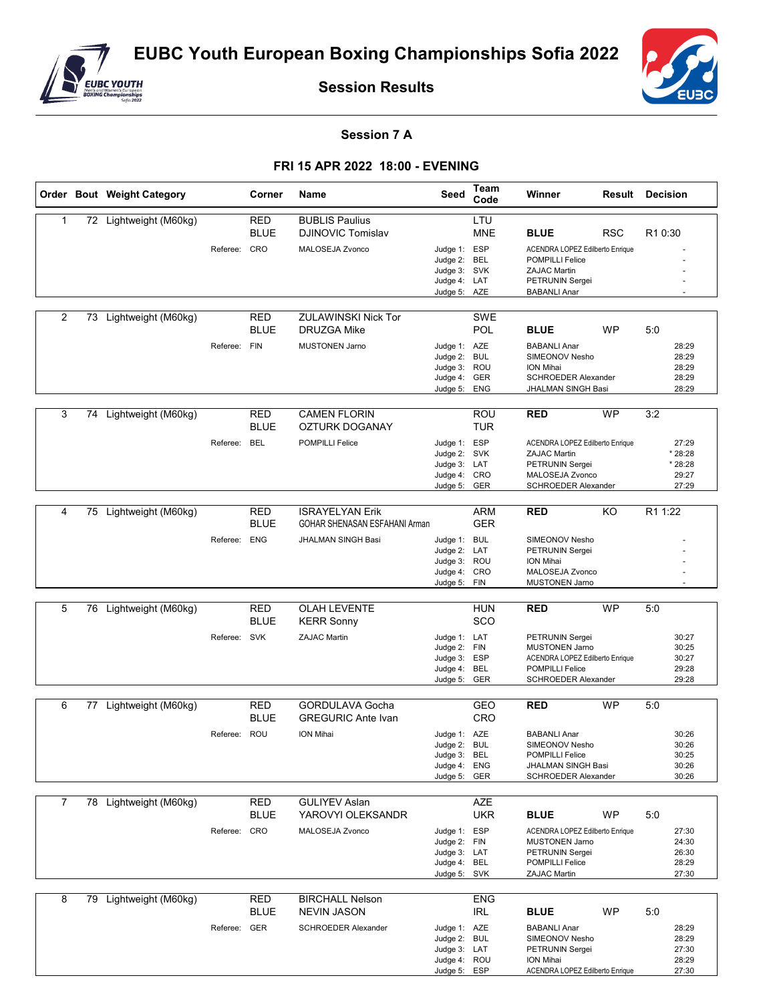

**Session Results**



## **Session 7 A**

## **FRI 15 APR 2022 18:00 - EVENING**

|                |    | Order Bout Weight Category |              | Corner                                  | Name                                                                          | Seed                                                                         | Team<br>Code                    | Winner                                                                                                                                     |            | <b>Result Decision</b>                               |
|----------------|----|----------------------------|--------------|-----------------------------------------|-------------------------------------------------------------------------------|------------------------------------------------------------------------------|---------------------------------|--------------------------------------------------------------------------------------------------------------------------------------------|------------|------------------------------------------------------|
| 1              |    | 72 Lightweight (M60kg)     | Referee: CRO | RED<br><b>BLUE</b>                      | <b>BUBLIS Paulius</b><br><b>DJINOVIC Tomislav</b><br>MALOSEJA Zvonco          | Judge 1: ESP<br>Judge 2: BEL<br>Judge 3: SVK<br>Judge 4: LAT<br>Judge 5: AZE | LTU<br><b>MNE</b>               | <b>BLUE</b><br>ACENDRA LOPEZ Edilberto Enrique<br><b>POMPILLI Felice</b><br>ZAJAC Martin<br>PETRUNIN Sergei<br><b>BABANLI Anar</b>         | <b>RSC</b> | R10:30                                               |
| 2              |    | 73 Lightweight (M60kg)     | Referee: FIN | RED<br><b>BLUE</b>                      | ZULAWINSKI Nick Tor<br>DRUZGA Mike<br><b>MUSTONEN Jarno</b>                   | Judge 1: AZE<br>Judge 2: BUL<br>Judge 3: ROU<br>Judge 4: GER<br>Judge 5:     | SWE<br><b>POL</b><br><b>ENG</b> | <b>BLUE</b><br><b>BABANLI Anar</b><br>SIMEONOV Nesho<br>ION Mihai<br>SCHROEDER Alexander<br>JHALMAN SINGH Basi                             | <b>WP</b>  | 5:0<br>28:29<br>28:29<br>28:29<br>28:29<br>28:29     |
| 3              |    | 74 Lightweight (M60kg)     | Referee:     | RED<br><b>BLUE</b><br><b>BEL</b>        | <b>CAMEN FLORIN</b><br>OZTURK DOGANAY<br><b>POMPILLI Felice</b>               | Judge 1: ESP<br>Judge 2: SVK<br>Judge 3: LAT<br>Judge 4: CRO<br>Judge 5: GER | ROU<br><b>TUR</b>               | <b>RED</b><br>ACENDRA LOPEZ Edilberto Enrique<br><b>ZAJAC Martin</b><br>PETRUNIN Sergei<br>MALOSEJA Zvonco<br>SCHROEDER Alexander          | <b>WP</b>  | 3:2<br>27:29<br>* 28:28<br>* 28:28<br>29:27<br>27:29 |
| 4              | 75 | Lightweight (M60kg)        | Referee: ENG | <b>RED</b><br><b>BLUE</b>               | <b>ISRAYELYAN Erik</b><br>GOHAR SHENASAN ESFAHANI Arman<br>JHALMAN SINGH Basi | Judge 1: BUL<br>Judge 2: LAT<br>Judge 3: ROU<br>Judge 4: CRO<br>Judge 5: FIN | ARM<br><b>GER</b>               | <b>RED</b><br>SIMEONOV Nesho<br>PETRUNIN Sergei<br>ION Mihai<br>MALOSEJA Zvonco<br><b>MUSTONEN Jarno</b>                                   | KO         | R1 1:22                                              |
| 5              |    | 76 Lightweight (M60kg)     | Referee:     | <b>RED</b><br><b>BLUE</b><br><b>SVK</b> | <b>OLAH LEVENTE</b><br><b>KERR Sonny</b><br><b>ZAJAC Martin</b>               | Judge 1: LAT<br>Judge 2: FIN<br>Judge 3: ESP<br>Judge 4: BEL<br>Judge 5: GER | <b>HUN</b><br>SCO               | <b>RED</b><br>PETRUNIN Sergei<br><b>MUSTONEN Jarno</b><br>ACENDRA LOPEZ Edilberto Enrique<br><b>POMPILLI Felice</b><br>SCHROEDER Alexander | <b>WP</b>  | 5:0<br>30:27<br>30:25<br>30:27<br>29:28<br>29:28     |
| 6              |    | 77 Lightweight (M60kg)     | Referee: ROU | <b>RED</b><br><b>BLUE</b>               | <b>GORDULAVA Gocha</b><br><b>GREGURIC Ante Ivan</b><br><b>ION Mihai</b>       | Judge 1: AZE<br>Judge 2: BUL<br>Judge 3: BEL<br>Judge 4: ENG<br>Judge 5: GER | GEO<br>CRO                      | <b>RED</b><br><b>BABANLI Anar</b><br>SIMEONOV Nesho<br><b>POMPILLI Felice</b><br>JHALMAN SINGH Basi<br>SCHROEDER Alexander                 | <b>WP</b>  | 5:0<br>30:26<br>30:26<br>30:25<br>30:26<br>30:26     |
| $\overline{7}$ |    | 78 Lightweight (M60kg)     | Referee:     | <b>RED</b><br>BLUE<br>CRO               | <b>GULIYEV Aslan</b><br>YAROVYI OLEKSANDR<br>MALOSEJA Zvonco                  | Judge 1: ESP<br>Judge 2: FIN<br>Judge 3: LAT<br>Judge 4: BEL<br>Judge 5: SVK | AZE<br>UKR                      | <b>BLUE</b><br>ACENDRA LOPEZ Edilberto Enrique<br><b>MUSTONEN Jarno</b><br>PETRUNIN Sergei<br>POMPILLI Felice<br>ZAJAC Martin              | <b>WP</b>  | 5:0<br>27:30<br>24:30<br>26:30<br>28:29<br>27:30     |
| 8              |    | 79 Lightweight (M60kg)     | Referee: GER | <b>RED</b><br><b>BLUE</b>               | <b>BIRCHALL Nelson</b><br><b>NEVIN JASON</b><br><b>SCHROEDER Alexander</b>    | Judge 1: AZE<br>Judge 2: BUL<br>Judge 3: LAT<br>Judge 4: ROU<br>Judge 5: ESP | <b>ENG</b><br>IRL               | <b>BLUE</b><br><b>BABANLI Anar</b><br>SIMEONOV Nesho<br>PETRUNIN Sergei<br>ION Mihai<br>ACENDRA LOPEZ Edilberto Enrique                    | WP         | 5:0<br>28:29<br>28:29<br>27:30<br>28:29<br>27:30     |